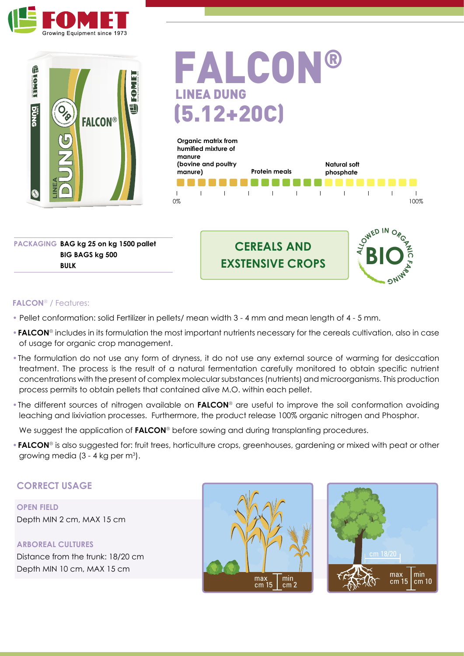



FALCON® LINEA DUNG (5.12+20C)



**PACKAGING BAG kg 25 on kg 1500 pallet BIG BAGS kg 500 BULK**





#### **FALCON**® / Features:

- Pellet conformation: solid Fertilizer in pellets/ mean width 3 4 mm and mean length of 4 5 mm.
- •**FALCON**® includes in its formulation the most important nutrients necessary for the cereals cultivation, also in case of usage for organic crop management.
- •The formulation do not use any form of dryness, it do not use any external source of warming for desiccation treatment. The process is the result of a natural fermentation carefully monitored to obtain specific nutrient concentrations with the present of complex molecular substances (nutrients) and microorganisms. This production process permits to obtain pellets that contained alive M.O. within each pellet.
- •The different sources of nitrogen available on **FALCON**® are useful to improve the soil conformation avoiding leaching and lixiviation processes. Furthermore, the product release 100% organic nitrogen and Phosphor.

We suggest the application of **FALCON**<sup>®</sup> before sowing and during transplanting procedures.

•**FALCON**® is also suggested for: fruit trees, horticulture crops, greenhouses, gardening or mixed with peat or other growing media (3 - 4 kg per m<sup>3</sup>).

## **CORRECT USAGE**

**OPEN FIELD** Depth MIN 2 cm, MAX 15 cm

**ARBOREAL CULTURES** Distance from the trunk: 18/20 cm Depth MIN 10 cm, MAX 15 cm